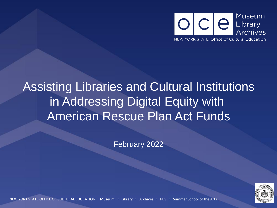

### Assisting Libraries and Cultural Institutions in Addressing Digital Equity with American Rescue Plan Act Funds

February 2022



NEW YORK STATE OFFICE OF CULTURAL EDUCATION Museum ・ Library ・ Archives ・ PBS ・ Summer School of the Arts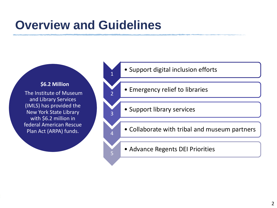### **Overview and Guidelines**

1

2

3

4

5

#### **\$6.2 Million**

The Institute of Museum and Library Services (IMLS) has provided the New York State Library with \$6.2 million in federal American Rescue Plan Act (ARPA) funds.

- Support digital inclusion efforts
- Emergency relief to libraries
- Support library services
- Collaborate with tribal and museum partners
- Advance Regents DEI Priorities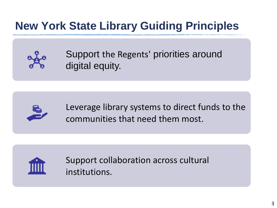### **New York State Library Guiding Principles**



Support the Regents' priorities around digital equity.



Leverage library systems to direct funds to the communities that need them most.



Support collaboration across cultural institutions.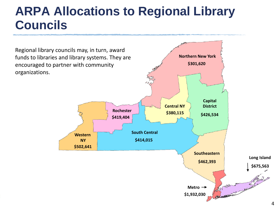### **ARPA Allocations to Regional Library Councils**

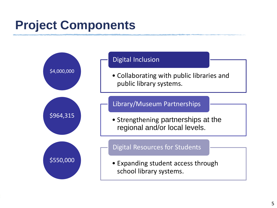## **Project Components**

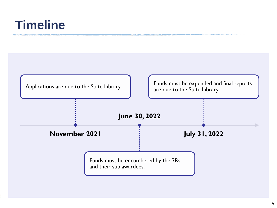### **Timeline**

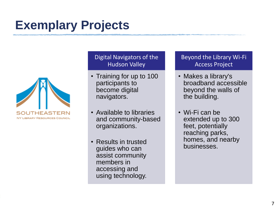### **Exemplary Projects**



#### Digital Navigators of the Hudson Valley

- Training for up to 100 participants to become digital navigators.
- Available to libraries and community-based organizations.
- Results in trusted guides who can assist community members in accessing and using technology.

#### Beyond the Library Wi-Fi Access Project

- Makes a library's broadband accessible beyond the walls of the building.
- Wi-Fi can be extended up to 300 feet, potentially reaching parks, homes, and nearby businesses.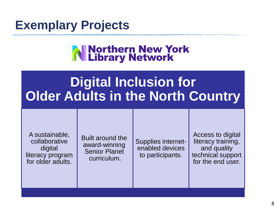

# N Northern New York<br>N Library Network

## **Digital Inclusion for Older Adults in the North Country**

A sustainable, collaborative digital literacy program for older adults.

Built around the award-winning Senior Planet curriculum.

Supplies internetenabled devices to participants.

Access to digital literacy training, and quality technical support for the end user.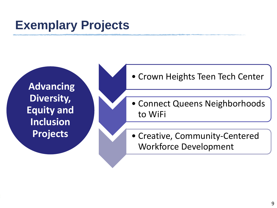### **Exemplary Projects**

**Advancing Diversity, Equity and Inclusion Projects**

- Crown Heights Teen Tech Center
- Connect Queens Neighborhoods to WiFi
- Creative, Community-Centered Workforce Development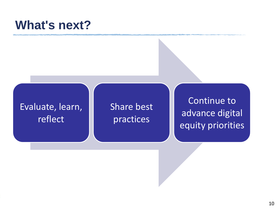### **What's next?**

### Evaluate, learn, reflect

### Share best practices

Continue to advance digital equity priorities